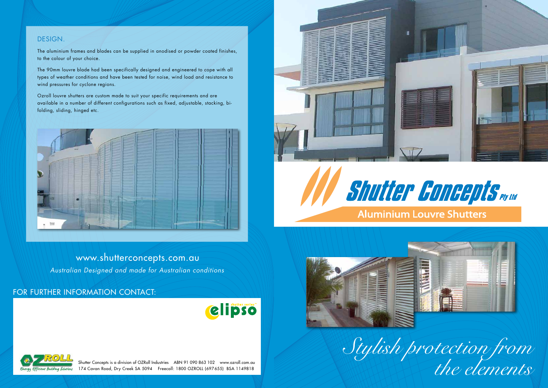

## www.shutterconcepts.com.au

*Australian Designed and made for Australian conditions*

### for further information contact:





Shutter Concepts is a division of OZRoll Industries ABN 91 090 863 102 www.ozroll.com.au 174 Cavan Road, Dry Creek SA 5094 Freecall: 1800 OZROLL (697655) BSA 1149818





#### DESIGN.

The aluminium frames and blades can be supplied in anodised or powder coated finishes, to the colour of your choice.

The 90mm louvre blade had been specifically designed and engineered to cope with all types of weather conditions and have been tested for noise, wind load and resistance to wind pressures for cyclone regions.

Ozroll louvre shutters are custom made to suit your specific requirements and are available in a number of different configurations such as fixed, adjustable, stacking, bifolding, sliding, hinged etc.